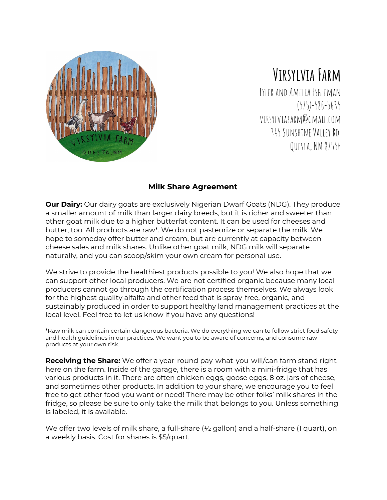

# **Virsylvia Farm**

Tyler andAmelia Eshleman (575)-586-5635 virsylviafarm@gmail.com 345 Sunshine Valley Rd. Questa,NM 87556

## **Milk Share Agreement**

**Our Dairy:** Our dairy goats are exclusively Nigerian Dwarf Goats (NDG). They produce a smaller amount of milk than larger dairy breeds, but it is richer and sweeter than other goat milk due to a higher butterfat content. It can be used for cheeses and butter, too. All products are raw\*. We do not pasteurize or separate the milk. We hope to someday offer butter and cream, but are currently at capacity between cheese sales and milk shares. Unlike other goat milk, NDG milk will separate naturally, and you can scoop/skim your own cream for personal use.

We strive to provide the healthiest products possible to you! We also hope that we can support other local producers. We are not certified organic because many local producers cannot go through the certification process themselves. We always look for the highest quality alfalfa and other feed that is spray-free, organic, and sustainably produced in order to support healthy land management practices at the local level. Feel free to let us know if you have any questions!

\*Raw milk can contain certain dangerous bacteria. We do everything we can to follow strict food safety and health guidelines in our practices. We want you to be aware of concerns, and consume raw products at your own risk.

**Receiving the Share:** We offer a year-round pay-what-you-will/can farm stand right here on the farm. Inside of the garage, there is a room with a mini-fridge that has various products in it. There are often chicken eggs, goose eggs, 8 oz. jars of cheese, and sometimes other products. In addition to your share, we encourage you to feel free to get other food you want or need! There may be other folks' milk shares in the fridge, so please be sure to only take the milk that belongs to you. Unless something is labeled, it is available.

We offer two levels of milk share, a full-share ( $\frac{1}{2}$  gallon) and a half-share (1 quart), on a weekly basis. Cost for shares is \$5/quart.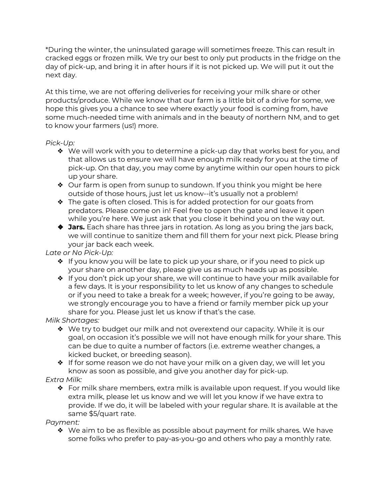\*During the winter, the uninsulated garage will sometimes freeze. This can result in cracked eggs or frozen milk. We try our best to only put products in the fridge on the day of pick-up, and bring it in after hours if it is not picked up. We will put it out the next day.

At this time, we are not offering deliveries for receiving your milk share or other products/produce. While we know that our farm is a little bit of a drive for some, we hope this gives you a chance to see where exactly your food is coming from, have some much-needed time with animals and in the beauty of northern NM, and to get to know your farmers (us!) more.

#### *Pick-Up:*

- ❖ We will work with you to determine a pick-up day that works best for you, and that allows us to ensure we will have enough milk ready for you at the time of pick-up. On that day, you may come by anytime within our open hours to pick up your share.
- ❖ Our farm is open from sunup to sundown. If you think you might be here outside of those hours, just let us know--it's usually not a problem!
- $\bullet$  The gate is often closed. This is for added protection for our goats from predators. Please come on in! Feel free to open the gate and leave it open while you're here. We just ask that you close it behind you on the way out.
- ❖ **Jars.** Each share has three jars in rotation. As long as you bring the jars back, we will continue to sanitize them and fill them for your next pick. Please bring your jar back each week.

### *Late or No Pick-Up:*

- ❖ If you know you will be late to pick up your share, or if you need to pick up your share on another day, please give us as much heads up as possible.
- ❖ If you don't pick up your share, we will continue to have your milk available for a few days. It is your responsibility to let us know of any changes to schedule or if you need to take a break for a week; however, if you're going to be away, we strongly encourage you to have a friend or family member pick up your share for you. Please just let us know if that's the case.

### *Milk Shortages:*

- ❖ We try to budget our milk and not overextend our capacity. While it is our goal, on occasion it's possible we will not have enough milk for your share. This can be due to quite a number of factors (i.e. extreme weather changes, a kicked bucket, or breeding season).
- ❖ If for some reason we do not have your milk on a given day, we will let you know as soon as possible, and give you another day for pick-up.

# *Extra Milk:*

 $\triangle$  For milk share members, extra milk is available upon request. If you would like extra milk, please let us know and we will let you know if we have extra to provide. If we do, it will be labeled with your regular share. It is available at the same \$5/quart rate.

# *Payment:*

❖ We aim to be as flexible as possible about payment for milk shares. We have some folks who prefer to pay-as-you-go and others who pay a monthly rate.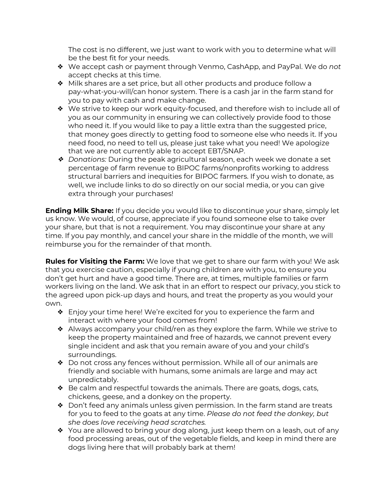The cost is no different, we just want to work with you to determine what will be the best fit for your needs.

- ❖ We accept cash or payment through Venmo, CashApp, and PayPal. We do *not* accept checks at this time.
- ❖ Milk shares are a set price, but all other products and produce follow a pay-what-you-will/can honor system. There is a cash jar in the farm stand for you to pay with cash and make change.
- ❖ We strive to keep our work equity-focused, and therefore wish to include all of you as our community in ensuring we can collectively provide food to those who need it. If you would like to pay a little extra than the suggested price, that money goes directly to getting food to someone else who needs it. If you need food, no need to tell us, please just take what you need! We apologize that we are not currently able to accept EBT/SNAP.
- ❖ *Donations:* During the peak agricultural season, each week we donate a set percentage of farm revenue to BIPOC farms/nonprofits working to address structural barriers and inequities for BIPOC farmers. If you wish to donate, as well, we include links to do so directly on our social media, or you can give extra through your purchases!

**Ending Milk Share:** If you decide you would like to discontinue your share, simply let us know. We would, of course, appreciate if you found someone else to take over your share, but that is not a requirement. You may discontinue your share at any time. If you pay monthly, and cancel your share in the middle of the month, we will reimburse you for the remainder of that month.

**Rules for Visiting the Farm:** We love that we get to share our farm with you! We ask that you exercise caution, especially if young children are with you, to ensure you don't get hurt and have a good time. There are, at times, multiple families or farm workers living on the land. We ask that in an effort to respect our privacy, you stick to the agreed upon pick-up days and hours, and treat the property as you would your own.

- ❖ Enjoy your time here! We're excited for you to experience the farm and interact with where your food comes from!
- ❖ Always accompany your child/ren as they explore the farm. While we strive to keep the property maintained and free of hazards, we cannot prevent every single incident and ask that you remain aware of you and your child's surroundings.
- ❖ Do not cross any fences without permission. While all of our animals are friendly and sociable with humans, some animals are large and may act unpredictably.
- $\triangle$  Be calm and respectful towards the animals. There are goats, dogs, cats, chickens, geese, and a donkey on the property.
- ❖ Don't feed any animals unless given permission. In the farm stand are treats for you to feed to the goats at any time. *Please do not feed the donkey, but she does love receiving head scratches.*
- ❖ You are allowed to bring your dog along, just keep them on a leash, out of any food processing areas, out of the vegetable fields, and keep in mind there are dogs living here that will probably bark at them!